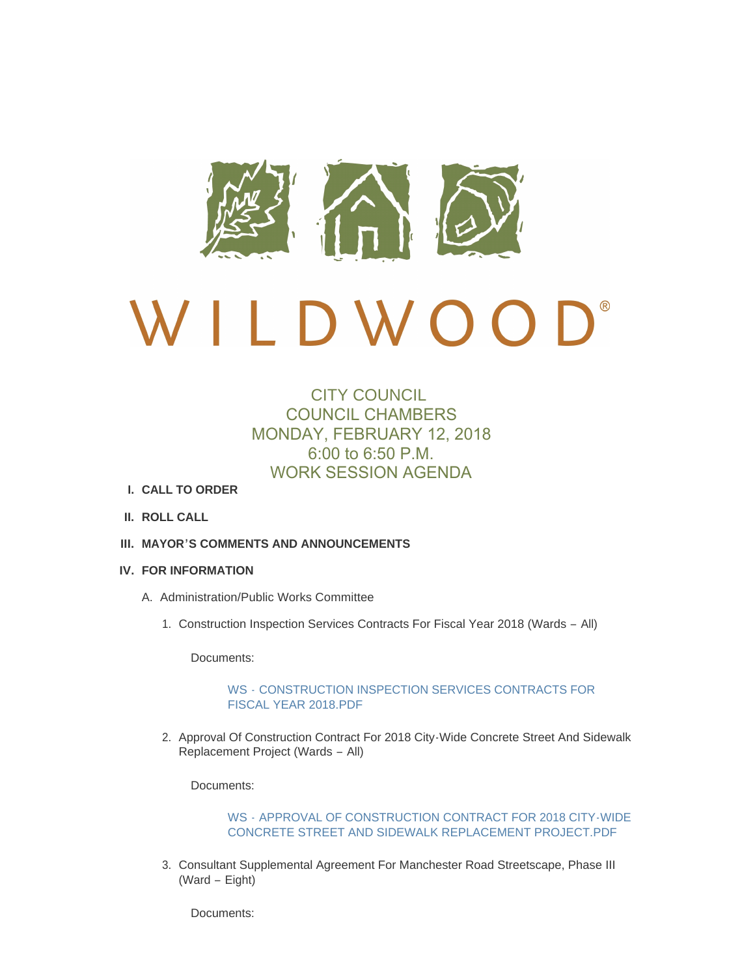

# $\bigcap$ D W O O

# CITY COUNCIL COUNCIL CHAMBERS MONDAY, FEBRUARY 12, 2018 6:00 to 6:50 P.M. WORK SESSION AGENDA

- **CALL TO ORDER I.**
- **ROLL CALL II.**
- **MAYOR'S COMMENTS AND ANNOUNCEMENTS III.**
- **FOR INFORMATION IV.**
	- A. Administration/Public Works Committee
		- 1. Construction Inspection Services Contracts For Fiscal Year 2018 (Wards All)

Documents:

# WS - [CONSTRUCTION INSPECTION SERVICES CONTRACTS FOR](http://mo-wildwood.civicplus.com/AgendaCenter/ViewFile/Item/14101?fileID=19770)  FISCAL YEAR 2018.PDF

2. Approval Of Construction Contract For 2018 City-Wide Concrete Street And Sidewalk Replacement Project (Wards – All)

Documents:

WS - [APPROVAL OF CONSTRUCTION CONTRACT FOR 2018 CITY-WIDE](http://mo-wildwood.civicplus.com/AgendaCenter/ViewFile/Item/14102?fileID=19771)  CONCRETE STREET AND SIDEWALK REPLACEMENT PROJECT.PDF

3. Consultant Supplemental Agreement For Manchester Road Streetscape, Phase III (Ward – Eight)

Documents: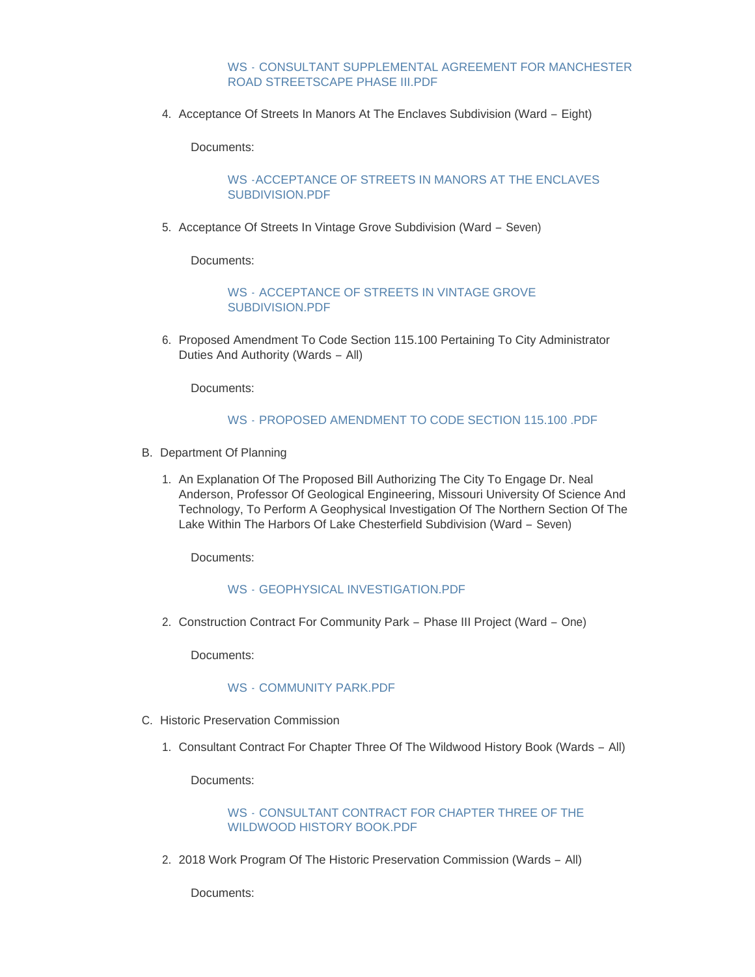#### WS - [CONSULTANT SUPPLEMENTAL AGREEMENT FOR MANCHESTER](http://mo-wildwood.civicplus.com/AgendaCenter/ViewFile/Item/14103?fileID=19772)  ROAD STREETSCAPE PHASE III.PDF

4. Acceptance Of Streets In Manors At The Enclaves Subdivision (Ward - Eight)

Documents:

# [WS -ACCEPTANCE OF STREETS IN MANORS AT THE ENCLAVES](http://mo-wildwood.civicplus.com/AgendaCenter/ViewFile/Item/14104?fileID=19773)  SUBDIVISION.PDF

5. Acceptance Of Streets In Vintage Grove Subdivision (Ward - Seven)

Documents:

WS - [ACCEPTANCE OF STREETS IN VINTAGE GROVE](http://mo-wildwood.civicplus.com/AgendaCenter/ViewFile/Item/14105?fileID=19774)  SUBDIVISION.PDF

6. Proposed Amendment To Code Section 115.100 Pertaining To City Administrator Duties And Authority (Wards – All)

Documents:

# WS - [PROPOSED AMENDMENT TO CODE SECTION 115.100 .PDF](http://mo-wildwood.civicplus.com/AgendaCenter/ViewFile/Item/14106?fileID=19775)

- B. Department Of Planning
	- 1. An Explanation Of The Proposed Bill Authorizing The City To Engage Dr. Neal Anderson, Professor Of Geological Engineering, Missouri University Of Science And Technology, To Perform A Geophysical Investigation Of The Northern Section Of The Lake Within The Harbors Of Lake Chesterfield Subdivision (Ward – Seven)

Documents:

# WS - [GEOPHYSICAL INVESTIGATION.PDF](http://mo-wildwood.civicplus.com/AgendaCenter/ViewFile/Item/14136?fileID=19794)

2. Construction Contract For Community Park - Phase III Project (Ward - One)

Documents:

# WS - [COMMUNITY PARK.PDF](http://mo-wildwood.civicplus.com/AgendaCenter/ViewFile/Item/14109?fileID=19796)

- C. Historic Preservation Commission
	- 1. Consultant Contract For Chapter Three Of The Wildwood History Book (Wards All)

Documents:

# WS - [CONSULTANT CONTRACT FOR CHAPTER THREE OF THE](http://mo-wildwood.civicplus.com/AgendaCenter/ViewFile/Item/14111?fileID=19776)  WILDWOOD HISTORY BOOK.PDF

2. 2018 Work Program Of The Historic Preservation Commission (Wards - All)

Documents: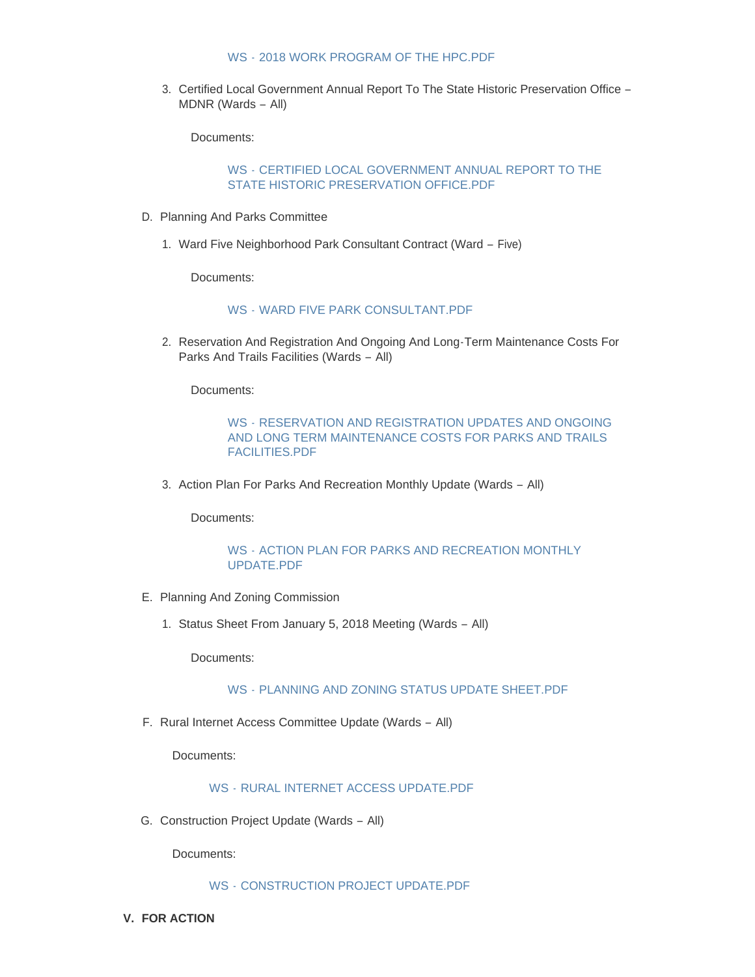#### WS - [2018 WORK PROGRAM OF THE HPC.PDF](http://mo-wildwood.civicplus.com/AgendaCenter/ViewFile/Item/14112?fileID=19777)

3. Certified Local Government Annual Report To The State Historic Preservation Office -MDNR (Wards – All)

Documents:

# WS - [CERTIFIED LOCAL GOVERNMENT ANNUAL REPORT TO THE](http://mo-wildwood.civicplus.com/AgendaCenter/ViewFile/Item/14113?fileID=19778)  STATE HISTORIC PRESERVATION OFFICE.PDF

- D. Planning And Parks Committee
	- Ward Five Neighborhood Park Consultant Contract (Ward Five) 1.

Documents:

# WS - [WARD FIVE PARK CONSULTANT.PDF](http://mo-wildwood.civicplus.com/AgendaCenter/ViewFile/Item/14115?fileID=19779)

2. Reservation And Registration And Ongoing And Long-Term Maintenance Costs For Parks And Trails Facilities (Wards – All)

Documents:

# WS - RESERVATION AND REGISTRATION UPDATES AND ONGOING [AND LONG TERM MAINTENANCE COSTS FOR PARKS AND TRAILS](http://mo-wildwood.civicplus.com/AgendaCenter/ViewFile/Item/14116?fileID=19780)  FACILITIES.PDF

3. Action Plan For Parks And Recreation Monthly Update (Wards - All)

Documents:

# WS - [ACTION PLAN FOR PARKS AND RECREATION MONTHLY](http://mo-wildwood.civicplus.com/AgendaCenter/ViewFile/Item/14117?fileID=19781)  UPDATE.PDF

- E. Planning And Zoning Commission
	- 1. Status Sheet From January 5, 2018 Meeting (Wards All)

Documents:

# WS - [PLANNING AND ZONING STATUS UPDATE SHEET.PDF](http://mo-wildwood.civicplus.com/AgendaCenter/ViewFile/Item/14119?fileID=19782)

F. Rural Internet Access Committee Update (Wards - All)

Documents:

# WS - [RURAL INTERNET ACCESS UPDATE.PDF](http://mo-wildwood.civicplus.com/AgendaCenter/ViewFile/Item/14120?fileID=19783)

G. Construction Project Update (Wards - All)

Documents:

WS - [CONSTRUCTION PROJECT UPDATE.PDF](http://mo-wildwood.civicplus.com/AgendaCenter/ViewFile/Item/14121?fileID=19784)

**FOR ACTION V.**